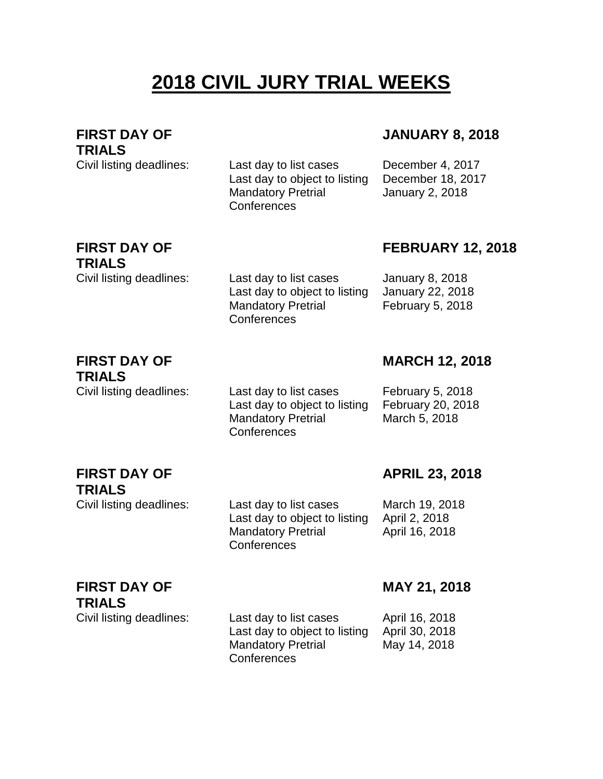# **2018 CIVIL JURY TRIAL WEEKS**

**FIRST DAY OF TRIALS**

Civil listing deadlines: Last day to list cases December 4, 2017 Last day to object to listing December 18, 2017 Mandatory Pretrial **Conferences** 

### **JANUARY 8, 2018**

January 2, 2018

## **FIRST DAY OF TRIALS**

**FEBRUARY 12, 2018**

Civil listing deadlines: Last day to list cases January 8, 2018 Last day to object to listing January 22, 2018 February 5, 2018

#### **FIRST DAY OF TRIALS**

**FIRST DAY OF** 

**TRIALS**

Civil listing deadlines: Last day to list cases February 5, 2018 Last day to object to listing February 20, 2018 Mandatory Pretrial **Conferences** 

Mandatory Pretrial

**Conferences** 

**MARCH 12, 2018**

March 5, 2018

## **APRIL 23, 2018**

Civil listing deadlines: Last day to list cases March 19, 2018 Last day to object to listing April 2, 2018 Mandatory Pretrial **Conferences** April 16, 2018

**FIRST DAY OF TRIALS**

Civil listing deadlines: Last day to list cases April 16, 2018 Last day to object to listing April 30, 2018 Mandatory Pretrial **Conferences** May 14, 2018

#### **MAY 21, 2018**